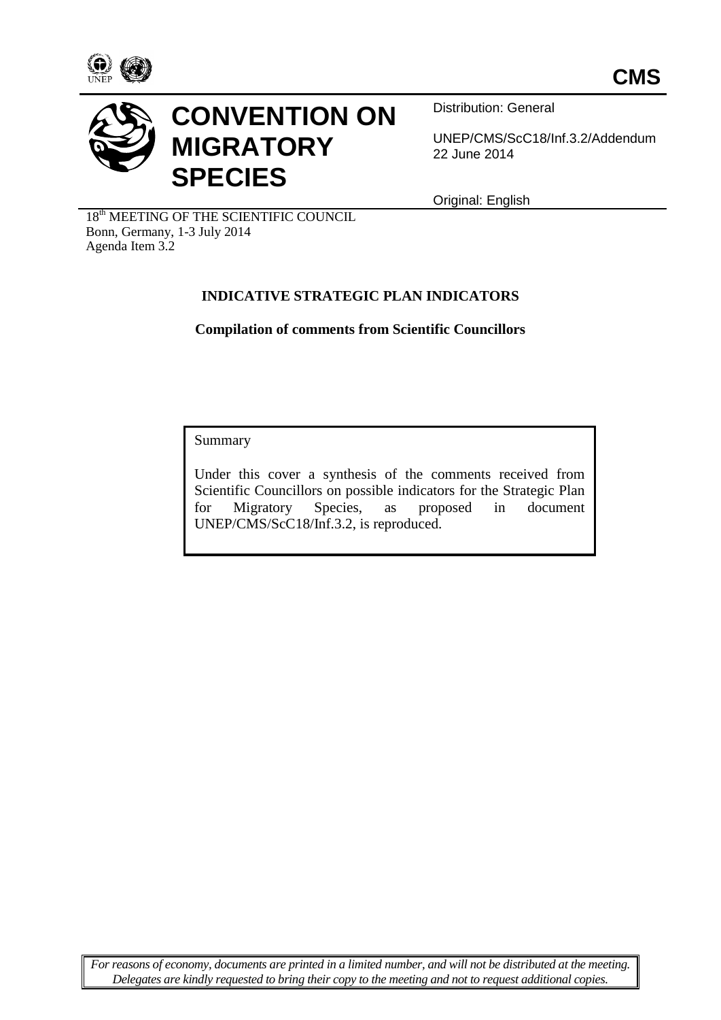



# **CONVENTION ON MIGRATORY SPECIES**

Distribution: General

UNEP/CMS/ScC18/Inf.3.2/Addendum 22 June 2014

Original: English

 $18<sup>th</sup>$  MEETING OF THE SCIENTIFIC COUNCIL Bonn, Germany, 1-3 July 2014 Agenda Item 3.2

# **INDICATIVE STRATEGIC PLAN INDICATORS**

**Compilation of comments from Scientific Councillors**

Summary

Under this cover a synthesis of the comments received from Scientific Councillors on possible indicators for the Strategic Plan for Migratory Species, as proposed in document UNEP/CMS/ScC18/Inf.3.2, is reproduced.

*For reasons of economy, documents are printed in a limited number, and will not be distributed at the meeting. Delegates are kindly requested to bring their copy to the meeting and not to request additional copies.*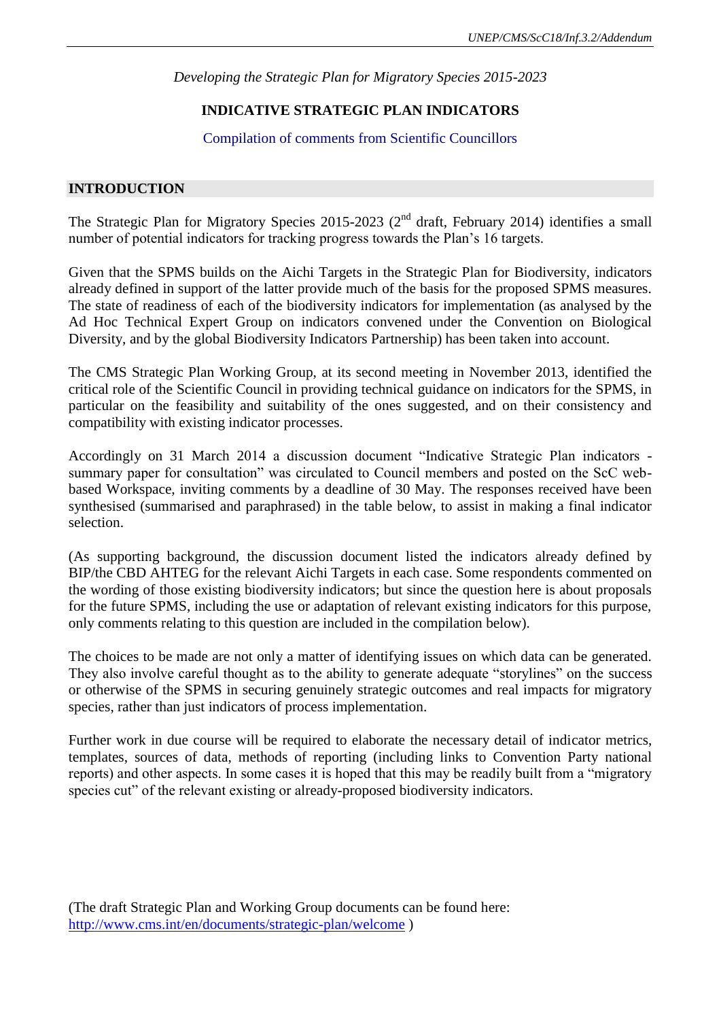### **INDICATIVE STRATEGIC PLAN INDICATORS**

#### Compilation of comments from Scientific Councillors

#### **INTRODUCTION**

The Strategic Plan for Migratory Species 2015-2023 ( $2<sup>nd</sup>$  draft, February 2014) identifies a small number of potential indicators for tracking progress towards the Plan's 16 targets.

Given that the SPMS builds on the Aichi Targets in the Strategic Plan for Biodiversity, indicators already defined in support of the latter provide much of the basis for the proposed SPMS measures. The state of readiness of each of the biodiversity indicators for implementation (as analysed by the Ad Hoc Technical Expert Group on indicators convened under the Convention on Biological Diversity, and by the global Biodiversity Indicators Partnership) has been taken into account.

The CMS Strategic Plan Working Group, at its second meeting in November 2013, identified the critical role of the Scientific Council in providing technical guidance on indicators for the SPMS, in particular on the feasibility and suitability of the ones suggested, and on their consistency and compatibility with existing indicator processes.

Accordingly on 31 March 2014 a discussion document "Indicative Strategic Plan indicators summary paper for consultation" was circulated to Council members and posted on the ScC webbased Workspace, inviting comments by a deadline of 30 May. The responses received have been synthesised (summarised and paraphrased) in the table below, to assist in making a final indicator selection.

(As supporting background, the discussion document listed the indicators already defined by BIP/the CBD AHTEG for the relevant Aichi Targets in each case. Some respondents commented on the wording of those existing biodiversity indicators; but since the question here is about proposals for the future SPMS, including the use or adaptation of relevant existing indicators for this purpose, only comments relating to this question are included in the compilation below).

The choices to be made are not only a matter of identifying issues on which data can be generated. They also involve careful thought as to the ability to generate adequate "storylines" on the success or otherwise of the SPMS in securing genuinely strategic outcomes and real impacts for migratory species, rather than just indicators of process implementation.

Further work in due course will be required to elaborate the necessary detail of indicator metrics, templates, sources of data, methods of reporting (including links to Convention Party national reports) and other aspects. In some cases it is hoped that this may be readily built from a "migratory species cut" of the relevant existing or already-proposed biodiversity indicators.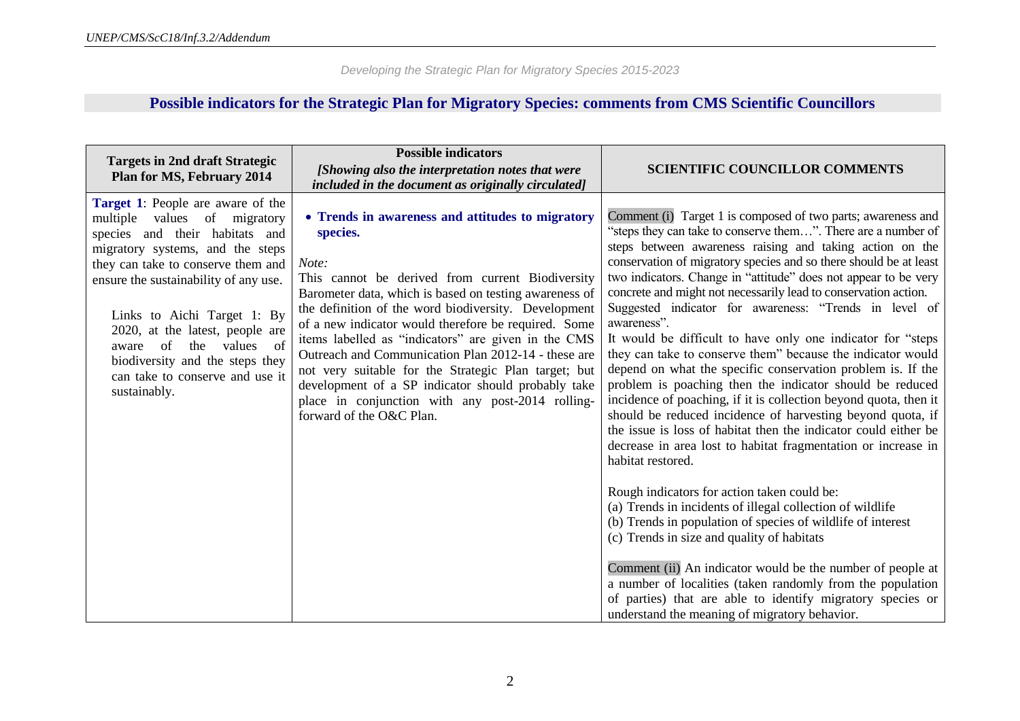# **Possible indicators for the Strategic Plan for Migratory Species: comments from CMS Scientific Councillors**

| <b>Targets in 2nd draft Strategic</b><br>Plan for MS, February 2014                                                                                                                                                                                                                                                                                                                                                      | <b>Possible indicators</b><br>[Showing also the interpretation notes that were<br>included in the document as originally circulated]                                                                                                                                                                                                                                                                                                                                                                                                                                                                            | <b>SCIENTIFIC COUNCILLOR COMMENTS</b>                                                                                                                                                                                                                                                                                                                                                                                                                                                                                                                                                                                                                                                                                                                                                                                                                                                                                                                                                                                                                                                                                                                                                                                                                                                                                                                                                                                                                                                                  |
|--------------------------------------------------------------------------------------------------------------------------------------------------------------------------------------------------------------------------------------------------------------------------------------------------------------------------------------------------------------------------------------------------------------------------|-----------------------------------------------------------------------------------------------------------------------------------------------------------------------------------------------------------------------------------------------------------------------------------------------------------------------------------------------------------------------------------------------------------------------------------------------------------------------------------------------------------------------------------------------------------------------------------------------------------------|--------------------------------------------------------------------------------------------------------------------------------------------------------------------------------------------------------------------------------------------------------------------------------------------------------------------------------------------------------------------------------------------------------------------------------------------------------------------------------------------------------------------------------------------------------------------------------------------------------------------------------------------------------------------------------------------------------------------------------------------------------------------------------------------------------------------------------------------------------------------------------------------------------------------------------------------------------------------------------------------------------------------------------------------------------------------------------------------------------------------------------------------------------------------------------------------------------------------------------------------------------------------------------------------------------------------------------------------------------------------------------------------------------------------------------------------------------------------------------------------------------|
| <b>Target 1:</b> People are aware of the<br>values<br>of migratory<br>multiple<br>species and their habitats and<br>migratory systems, and the steps<br>they can take to conserve them and<br>ensure the sustainability of any use.<br>Links to Aichi Target 1: By<br>2020, at the latest, people are<br>of the values of<br>aware<br>biodiversity and the steps they<br>can take to conserve and use it<br>sustainably. | • Trends in awareness and attitudes to migratory<br>species.<br>Note:<br>This cannot be derived from current Biodiversity<br>Barometer data, which is based on testing awareness of<br>the definition of the word biodiversity. Development<br>of a new indicator would therefore be required. Some<br>items labelled as "indicators" are given in the CMS<br>Outreach and Communication Plan 2012-14 - these are<br>not very suitable for the Strategic Plan target; but<br>development of a SP indicator should probably take<br>place in conjunction with any post-2014 rolling-<br>forward of the O&C Plan. | Comment (i) Target 1 is composed of two parts; awareness and<br>"steps they can take to conserve them". There are a number of<br>steps between awareness raising and taking action on the<br>conservation of migratory species and so there should be at least<br>two indicators. Change in "attitude" does not appear to be very<br>concrete and might not necessarily lead to conservation action.<br>Suggested indicator for awareness: "Trends in level of<br>awareness".<br>It would be difficult to have only one indicator for "steps"<br>they can take to conserve them" because the indicator would<br>depend on what the specific conservation problem is. If the<br>problem is poaching then the indicator should be reduced<br>incidence of poaching, if it is collection beyond quota, then it<br>should be reduced incidence of harvesting beyond quota, if<br>the issue is loss of habitat then the indicator could either be<br>decrease in area lost to habitat fragmentation or increase in<br>habitat restored.<br>Rough indicators for action taken could be:<br>(a) Trends in incidents of illegal collection of wildlife<br>(b) Trends in population of species of wildlife of interest<br>(c) Trends in size and quality of habitats<br>Comment (ii) An indicator would be the number of people at<br>a number of localities (taken randomly from the population<br>of parties) that are able to identify migratory species or<br>understand the meaning of migratory behavior. |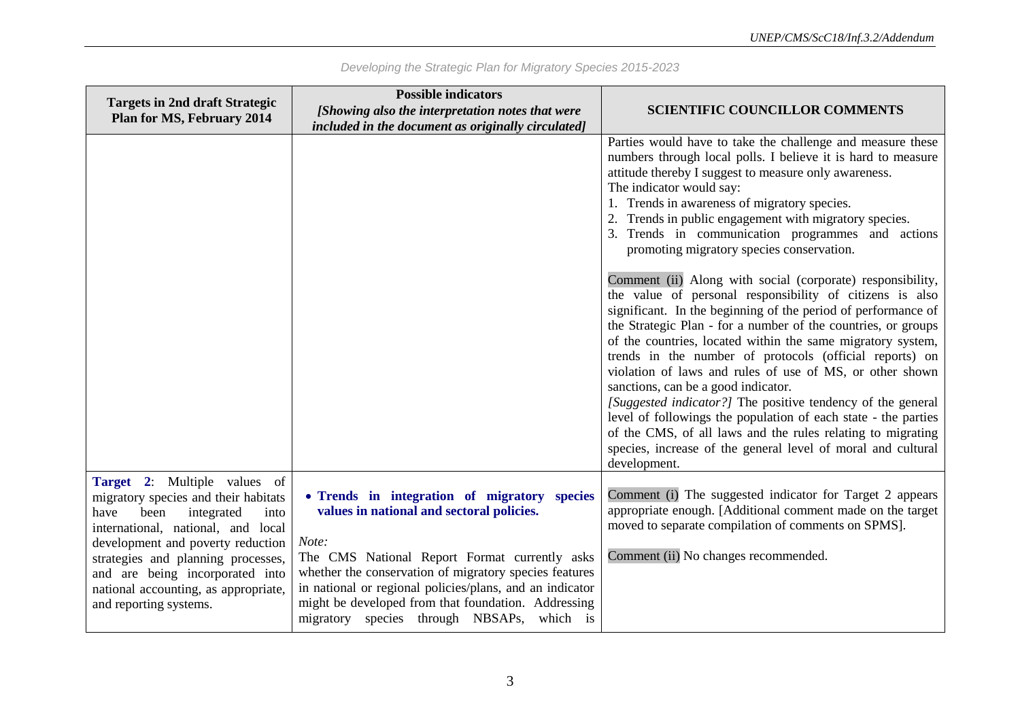| <b>Targets in 2nd draft Strategic</b>                                                                                                                                                                                                                                                                                            | <b>Possible indicators</b>                                                                                                                                                                                                                                                                                                                                                     |                                                                                                                                                                                                                                                                                                                                                                                                                                                                                                                                                                                                                                                                                                                                                                       |
|----------------------------------------------------------------------------------------------------------------------------------------------------------------------------------------------------------------------------------------------------------------------------------------------------------------------------------|--------------------------------------------------------------------------------------------------------------------------------------------------------------------------------------------------------------------------------------------------------------------------------------------------------------------------------------------------------------------------------|-----------------------------------------------------------------------------------------------------------------------------------------------------------------------------------------------------------------------------------------------------------------------------------------------------------------------------------------------------------------------------------------------------------------------------------------------------------------------------------------------------------------------------------------------------------------------------------------------------------------------------------------------------------------------------------------------------------------------------------------------------------------------|
| <b>Plan for MS, February 2014</b>                                                                                                                                                                                                                                                                                                | [Showing also the interpretation notes that were                                                                                                                                                                                                                                                                                                                               | <b>SCIENTIFIC COUNCILLOR COMMENTS</b>                                                                                                                                                                                                                                                                                                                                                                                                                                                                                                                                                                                                                                                                                                                                 |
|                                                                                                                                                                                                                                                                                                                                  | included in the document as originally circulated]                                                                                                                                                                                                                                                                                                                             |                                                                                                                                                                                                                                                                                                                                                                                                                                                                                                                                                                                                                                                                                                                                                                       |
|                                                                                                                                                                                                                                                                                                                                  |                                                                                                                                                                                                                                                                                                                                                                                | Parties would have to take the challenge and measure these<br>numbers through local polls. I believe it is hard to measure<br>attitude thereby I suggest to measure only awareness.<br>The indicator would say:<br>1. Trends in awareness of migratory species.<br>2. Trends in public engagement with migratory species.<br>3. Trends in communication programmes and actions<br>promoting migratory species conservation.                                                                                                                                                                                                                                                                                                                                           |
|                                                                                                                                                                                                                                                                                                                                  |                                                                                                                                                                                                                                                                                                                                                                                | Comment (ii) Along with social (corporate) responsibility,<br>the value of personal responsibility of citizens is also<br>significant. In the beginning of the period of performance of<br>the Strategic Plan - for a number of the countries, or groups<br>of the countries, located within the same migratory system,<br>trends in the number of protocols (official reports) on<br>violation of laws and rules of use of MS, or other shown<br>sanctions, can be a good indicator.<br>[Suggested indicator?] The positive tendency of the general<br>level of followings the population of each state - the parties<br>of the CMS, of all laws and the rules relating to migrating<br>species, increase of the general level of moral and cultural<br>development. |
| Target 2: Multiple values of<br>migratory species and their habitats<br>been<br>integrated<br>into<br>have<br>international, national, and local<br>development and poverty reduction<br>strategies and planning processes,<br>and are being incorporated into<br>national accounting, as appropriate,<br>and reporting systems. | • Trends in integration of migratory species<br>values in national and sectoral policies.<br>Note:<br>The CMS National Report Format currently asks<br>whether the conservation of migratory species features<br>in national or regional policies/plans, and an indicator<br>might be developed from that foundation. Addressing<br>migratory species through NBSAPs, which is | Comment (i) The suggested indicator for Target 2 appears<br>appropriate enough. [Additional comment made on the target<br>moved to separate compilation of comments on SPMS].<br>Comment (ii) No changes recommended.                                                                                                                                                                                                                                                                                                                                                                                                                                                                                                                                                 |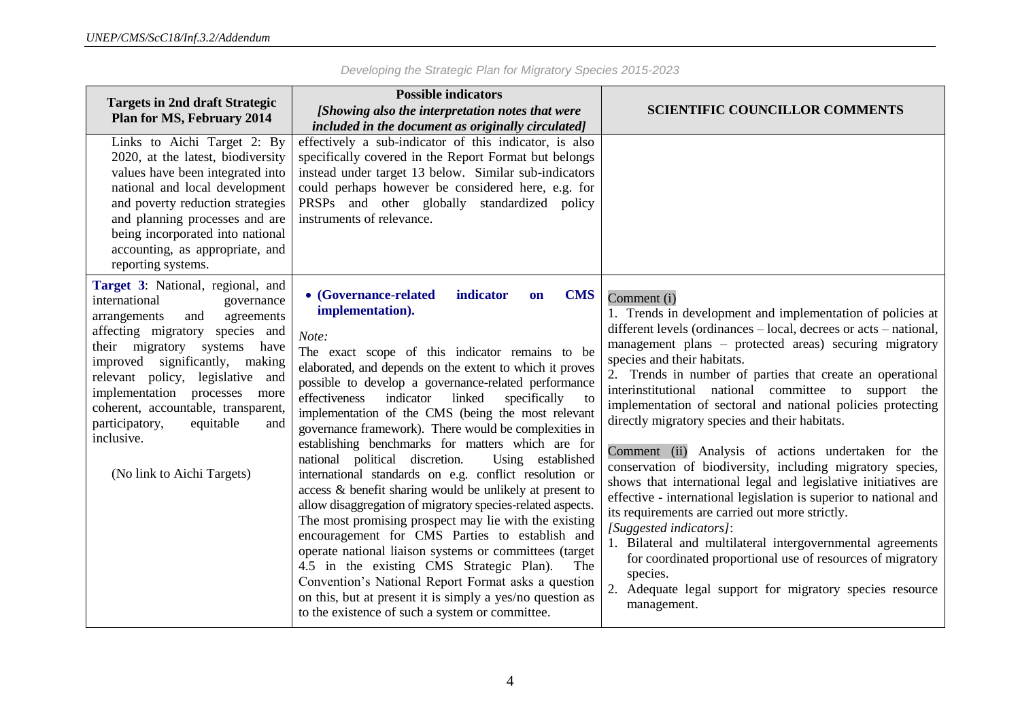| <b>Targets in 2nd draft Strategic</b><br><b>Plan for MS, February 2014</b>                                                                                                                                                                                                                                                                                                                                           | <b>Possible indicators</b><br>[Showing also the interpretation notes that were<br>included in the document as originally circulated]                                                                                                                                                                                                                                                                                                                                                                                                                                                                                                                                                                                                                                                                                                                                                                                                                                                                                                                                                                                                   | <b>SCIENTIFIC COUNCILLOR COMMENTS</b>                                                                                                                                                                                                                                                                                                                                                                                                                                                                                                                                                                                                                                                                                                                                                                                                                                                                                                                                                                                                      |
|----------------------------------------------------------------------------------------------------------------------------------------------------------------------------------------------------------------------------------------------------------------------------------------------------------------------------------------------------------------------------------------------------------------------|----------------------------------------------------------------------------------------------------------------------------------------------------------------------------------------------------------------------------------------------------------------------------------------------------------------------------------------------------------------------------------------------------------------------------------------------------------------------------------------------------------------------------------------------------------------------------------------------------------------------------------------------------------------------------------------------------------------------------------------------------------------------------------------------------------------------------------------------------------------------------------------------------------------------------------------------------------------------------------------------------------------------------------------------------------------------------------------------------------------------------------------|--------------------------------------------------------------------------------------------------------------------------------------------------------------------------------------------------------------------------------------------------------------------------------------------------------------------------------------------------------------------------------------------------------------------------------------------------------------------------------------------------------------------------------------------------------------------------------------------------------------------------------------------------------------------------------------------------------------------------------------------------------------------------------------------------------------------------------------------------------------------------------------------------------------------------------------------------------------------------------------------------------------------------------------------|
| Links to Aichi Target 2: By<br>2020, at the latest, biodiversity<br>values have been integrated into<br>national and local development<br>and poverty reduction strategies<br>and planning processes and are<br>being incorporated into national<br>accounting, as appropriate, and<br>reporting systems.                                                                                                            | effectively a sub-indicator of this indicator, is also<br>specifically covered in the Report Format but belongs<br>instead under target 13 below. Similar sub-indicators<br>could perhaps however be considered here, e.g. for<br>PRSPs and other globally standardized policy<br>instruments of relevance.                                                                                                                                                                                                                                                                                                                                                                                                                                                                                                                                                                                                                                                                                                                                                                                                                            |                                                                                                                                                                                                                                                                                                                                                                                                                                                                                                                                                                                                                                                                                                                                                                                                                                                                                                                                                                                                                                            |
| Target 3: National, regional, and<br>international<br>governance<br>and<br>arrangements<br>agreements<br>affecting migratory species and<br>their migratory systems<br>have<br>significantly,<br>improved<br>making<br>relevant policy, legislative and<br>implementation processes<br>more<br>coherent, accountable, transparent,<br>participatory,<br>equitable<br>and<br>inclusive.<br>(No link to Aichi Targets) | <b>CMS</b><br>• (Governance-related<br>indicator<br>on<br>implementation).<br>Note:<br>The exact scope of this indicator remains to be<br>elaborated, and depends on the extent to which it proves<br>possible to develop a governance-related performance<br>effectiveness<br>indicator<br>linked<br>specifically<br>to<br>implementation of the CMS (being the most relevant<br>governance framework). There would be complexities in<br>establishing benchmarks for matters which are for<br>national political discretion.<br>Using established<br>international standards on e.g. conflict resolution or<br>access & benefit sharing would be unlikely at present to<br>allow disaggregation of migratory species-related aspects.<br>The most promising prospect may lie with the existing<br>encouragement for CMS Parties to establish and<br>operate national liaison systems or committees (target<br>4.5 in the existing CMS Strategic Plan).<br>The<br>Convention's National Report Format asks a question<br>on this, but at present it is simply a yes/no question as<br>to the existence of such a system or committee. | Comment (i)<br>1. Trends in development and implementation of policies at<br>different levels (ordinances – local, decrees or acts – national,<br>management plans - protected areas) securing migratory<br>species and their habitats.<br>2. Trends in number of parties that create an operational<br>interinstitutional national committee to support the<br>implementation of sectoral and national policies protecting<br>directly migratory species and their habitats.<br>Comment (ii) Analysis of actions undertaken for the<br>conservation of biodiversity, including migratory species,<br>shows that international legal and legislative initiatives are<br>effective - international legislation is superior to national and<br>its requirements are carried out more strictly.<br>[Suggested indicators]:<br>1. Bilateral and multilateral intergovernmental agreements<br>for coordinated proportional use of resources of migratory<br>species.<br>2. Adequate legal support for migratory species resource<br>management. |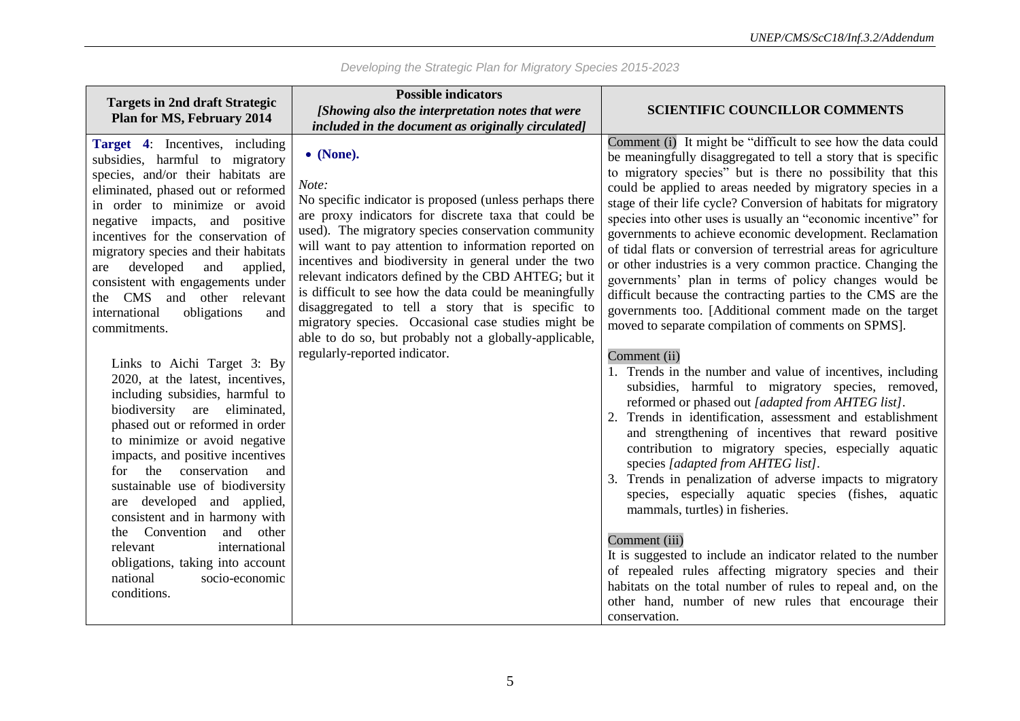| <b>Targets in 2nd draft Strategic</b>                                                                                                                                                                                                                                                                                                                                                                                                                                                                                                                                                                                                                                                                                                                                                                                                                                                                                                                                                                                   | <b>Possible indicators</b>                                                                                                                                                                                                                                                                                                                                                                                                                                                                                                                                                                                                                                                                           |                                                                                                                                                                                                                                                                                                                                                                                                                                                                                                                                                                                                                                                                                                                                                                                                                                                                                                                                                                                                                                                                                                                                                                                                                                                                                                                                                                                                                                                                                                                                                                                                                             |
|-------------------------------------------------------------------------------------------------------------------------------------------------------------------------------------------------------------------------------------------------------------------------------------------------------------------------------------------------------------------------------------------------------------------------------------------------------------------------------------------------------------------------------------------------------------------------------------------------------------------------------------------------------------------------------------------------------------------------------------------------------------------------------------------------------------------------------------------------------------------------------------------------------------------------------------------------------------------------------------------------------------------------|------------------------------------------------------------------------------------------------------------------------------------------------------------------------------------------------------------------------------------------------------------------------------------------------------------------------------------------------------------------------------------------------------------------------------------------------------------------------------------------------------------------------------------------------------------------------------------------------------------------------------------------------------------------------------------------------------|-----------------------------------------------------------------------------------------------------------------------------------------------------------------------------------------------------------------------------------------------------------------------------------------------------------------------------------------------------------------------------------------------------------------------------------------------------------------------------------------------------------------------------------------------------------------------------------------------------------------------------------------------------------------------------------------------------------------------------------------------------------------------------------------------------------------------------------------------------------------------------------------------------------------------------------------------------------------------------------------------------------------------------------------------------------------------------------------------------------------------------------------------------------------------------------------------------------------------------------------------------------------------------------------------------------------------------------------------------------------------------------------------------------------------------------------------------------------------------------------------------------------------------------------------------------------------------------------------------------------------------|
| <b>Plan for MS, February 2014</b>                                                                                                                                                                                                                                                                                                                                                                                                                                                                                                                                                                                                                                                                                                                                                                                                                                                                                                                                                                                       | [Showing also the interpretation notes that were                                                                                                                                                                                                                                                                                                                                                                                                                                                                                                                                                                                                                                                     | <b>SCIENTIFIC COUNCILLOR COMMENTS</b>                                                                                                                                                                                                                                                                                                                                                                                                                                                                                                                                                                                                                                                                                                                                                                                                                                                                                                                                                                                                                                                                                                                                                                                                                                                                                                                                                                                                                                                                                                                                                                                       |
| <b>Target 4:</b> Incentives, including<br>subsidies, harmful to migratory<br>species, and/or their habitats are<br>eliminated, phased out or reformed<br>in order to minimize or avoid<br>negative impacts, and positive<br>incentives for the conservation of<br>migratory species and their habitats<br>developed<br>and<br>applied,<br>are<br>consistent with engagements under<br>and other relevant<br><b>CMS</b><br>the<br>international<br>obligations<br>and<br>commitments.<br>Links to Aichi Target 3: By<br>2020, at the latest, incentives,<br>including subsidies, harmful to<br>biodiversity are<br>eliminated,<br>phased out or reformed in order<br>to minimize or avoid negative<br>impacts, and positive incentives<br>for the conservation<br>and<br>sustainable use of biodiversity<br>are developed and applied,<br>consistent and in harmony with<br>Convention<br>and other<br>the<br>international<br>relevant<br>obligations, taking into account<br>national<br>socio-economic<br>conditions. | included in the document as originally circulated]<br>$\bullet$ (None).<br>Note:<br>No specific indicator is proposed (unless perhaps there<br>are proxy indicators for discrete taxa that could be<br>used). The migratory species conservation community<br>will want to pay attention to information reported on<br>incentives and biodiversity in general under the two<br>relevant indicators defined by the CBD AHTEG; but it<br>is difficult to see how the data could be meaningfully<br>disaggregated to tell a story that is specific to<br>migratory species. Occasional case studies might be<br>able to do so, but probably not a globally-applicable,<br>regularly-reported indicator. | Comment (i) It might be "difficult to see how the data could<br>be meaningfully disaggregated to tell a story that is specific<br>to migratory species" but is there no possibility that this<br>could be applied to areas needed by migratory species in a<br>stage of their life cycle? Conversion of habitats for migratory<br>species into other uses is usually an "economic incentive" for<br>governments to achieve economic development. Reclamation<br>of tidal flats or conversion of terrestrial areas for agriculture<br>or other industries is a very common practice. Changing the<br>governments' plan in terms of policy changes would be<br>difficult because the contracting parties to the CMS are the<br>governments too. [Additional comment made on the target<br>moved to separate compilation of comments on SPMS].<br>Comment (ii)<br>1. Trends in the number and value of incentives, including<br>subsidies, harmful to migratory species, removed,<br>reformed or phased out [adapted from AHTEG list].<br>2. Trends in identification, assessment and establishment<br>and strengthening of incentives that reward positive<br>contribution to migratory species, especially aquatic<br>species [adapted from AHTEG list].<br>3. Trends in penalization of adverse impacts to migratory<br>species, especially aquatic species (fishes, aquatic<br>mammals, turtles) in fisheries.<br>Comment (iii)<br>It is suggested to include an indicator related to the number<br>of repealed rules affecting migratory species and their<br>habitats on the total number of rules to repeal and, on the |
|                                                                                                                                                                                                                                                                                                                                                                                                                                                                                                                                                                                                                                                                                                                                                                                                                                                                                                                                                                                                                         |                                                                                                                                                                                                                                                                                                                                                                                                                                                                                                                                                                                                                                                                                                      | other hand, number of new rules that encourage their<br>conservation.                                                                                                                                                                                                                                                                                                                                                                                                                                                                                                                                                                                                                                                                                                                                                                                                                                                                                                                                                                                                                                                                                                                                                                                                                                                                                                                                                                                                                                                                                                                                                       |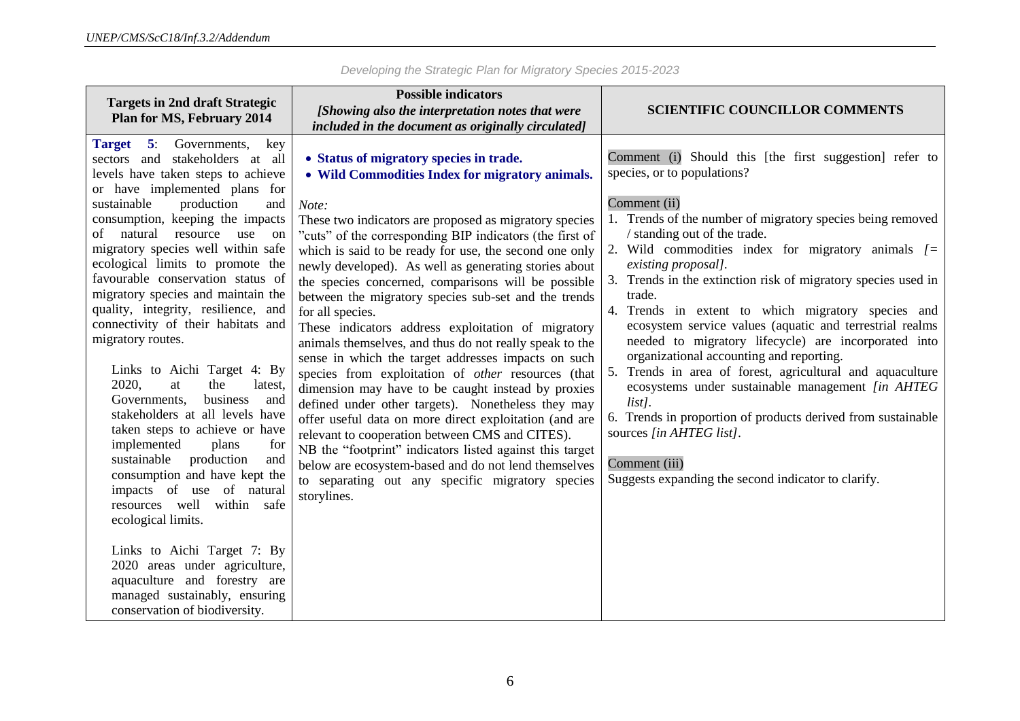| <b>Targets in 2nd draft Strategic</b>                                                                                                                                                                                                                                                                                                                                                                                                                                                                                                                                                                                                                                                                                                                                                                                                                                   | <b>Possible indicators</b>                                                                                                                                                                                                                                                                                                                                                                                                                                                                                                                                                                                                                                                                                                                                                                                                                                                                                                                                                                                                                                                                                                                                                          |                                                                                                                                                                                                                                                                                                                                                                                                                                                                                                                                                                                                                                                                                                                                                                                                                                                                                   |
|-------------------------------------------------------------------------------------------------------------------------------------------------------------------------------------------------------------------------------------------------------------------------------------------------------------------------------------------------------------------------------------------------------------------------------------------------------------------------------------------------------------------------------------------------------------------------------------------------------------------------------------------------------------------------------------------------------------------------------------------------------------------------------------------------------------------------------------------------------------------------|-------------------------------------------------------------------------------------------------------------------------------------------------------------------------------------------------------------------------------------------------------------------------------------------------------------------------------------------------------------------------------------------------------------------------------------------------------------------------------------------------------------------------------------------------------------------------------------------------------------------------------------------------------------------------------------------------------------------------------------------------------------------------------------------------------------------------------------------------------------------------------------------------------------------------------------------------------------------------------------------------------------------------------------------------------------------------------------------------------------------------------------------------------------------------------------|-----------------------------------------------------------------------------------------------------------------------------------------------------------------------------------------------------------------------------------------------------------------------------------------------------------------------------------------------------------------------------------------------------------------------------------------------------------------------------------------------------------------------------------------------------------------------------------------------------------------------------------------------------------------------------------------------------------------------------------------------------------------------------------------------------------------------------------------------------------------------------------|
| <b>Plan for MS, February 2014</b>                                                                                                                                                                                                                                                                                                                                                                                                                                                                                                                                                                                                                                                                                                                                                                                                                                       | [Showing also the interpretation notes that were                                                                                                                                                                                                                                                                                                                                                                                                                                                                                                                                                                                                                                                                                                                                                                                                                                                                                                                                                                                                                                                                                                                                    | <b>SCIENTIFIC COUNCILLOR COMMENTS</b>                                                                                                                                                                                                                                                                                                                                                                                                                                                                                                                                                                                                                                                                                                                                                                                                                                             |
|                                                                                                                                                                                                                                                                                                                                                                                                                                                                                                                                                                                                                                                                                                                                                                                                                                                                         |                                                                                                                                                                                                                                                                                                                                                                                                                                                                                                                                                                                                                                                                                                                                                                                                                                                                                                                                                                                                                                                                                                                                                                                     |                                                                                                                                                                                                                                                                                                                                                                                                                                                                                                                                                                                                                                                                                                                                                                                                                                                                                   |
| Target 5:<br>Governments,<br>key<br>sectors and stakeholders at all<br>levels have taken steps to achieve<br>or have implemented plans for<br>production<br>sustainable<br>and<br>consumption, keeping the impacts<br>of natural resource use on<br>migratory species well within safe<br>ecological limits to promote the<br>favourable conservation status of<br>migratory species and maintain the<br>quality, integrity, resilience, and<br>connectivity of their habitats and<br>migratory routes.<br>Links to Aichi Target 4: By<br>2020,<br>at<br>the<br>latest,<br>business<br>Governments,<br>and<br>stakeholders at all levels have<br>taken steps to achieve or have<br>implemented<br>plans<br>for<br>sustainable<br>production<br>and<br>consumption and have kept the<br>impacts of use of natural<br>resources well within<br>safe<br>ecological limits. | included in the document as originally circulated]<br>• Status of migratory species in trade.<br>• Wild Commodities Index for migratory animals.<br>Note:<br>These two indicators are proposed as migratory species<br>"cuts" of the corresponding BIP indicators (the first of<br>which is said to be ready for use, the second one only<br>newly developed). As well as generating stories about<br>the species concerned, comparisons will be possible<br>between the migratory species sub-set and the trends<br>for all species.<br>These indicators address exploitation of migratory<br>animals themselves, and thus do not really speak to the<br>sense in which the target addresses impacts on such<br>species from exploitation of other resources (that<br>dimension may have to be caught instead by proxies<br>defined under other targets). Nonetheless they may<br>offer useful data on more direct exploitation (and are<br>relevant to cooperation between CMS and CITES).<br>NB the "footprint" indicators listed against this target<br>below are ecosystem-based and do not lend themselves<br>to separating out any specific migratory species<br>storylines. | Comment (i) Should this [the first suggestion] refer to<br>species, or to populations?<br>Comment (ii)<br>Trends of the number of migratory species being removed<br>/ standing out of the trade.<br>Wild commodities index for migratory animals $I$ =<br>2.<br>existing proposal].<br>Trends in the extinction risk of migratory species used in<br>trade.<br>4. Trends in extent to which migratory species and<br>ecosystem service values (aquatic and terrestrial realms<br>needed to migratory lifecycle) are incorporated into<br>organizational accounting and reporting.<br>Trends in area of forest, agricultural and aquaculture<br>ecosystems under sustainable management [in AHTEG<br>$list$ .<br>6. Trends in proportion of products derived from sustainable<br>sources [in AHTEG list].<br>Comment (iii)<br>Suggests expanding the second indicator to clarify. |
| Links to Aichi Target 7: By<br>2020 areas under agriculture,<br>aquaculture and forestry are<br>managed sustainably, ensuring<br>conservation of biodiversity.                                                                                                                                                                                                                                                                                                                                                                                                                                                                                                                                                                                                                                                                                                          |                                                                                                                                                                                                                                                                                                                                                                                                                                                                                                                                                                                                                                                                                                                                                                                                                                                                                                                                                                                                                                                                                                                                                                                     |                                                                                                                                                                                                                                                                                                                                                                                                                                                                                                                                                                                                                                                                                                                                                                                                                                                                                   |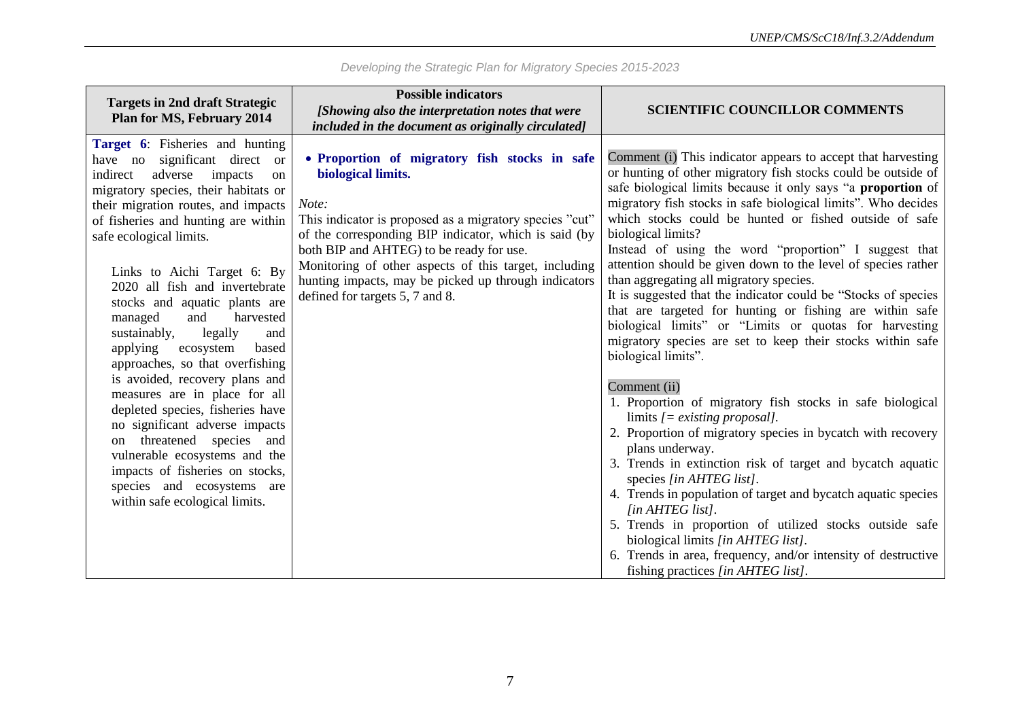| <b>Targets in 2nd draft Strategic</b><br>Plan for MS, February 2014                                                                                                                                                                                                                                                                                                                                                                                                                                                                                                                                                                                                                                                                                                                                                       | <b>Possible indicators</b><br>[Showing also the interpretation notes that were<br>included in the document as originally circulated]                                                                                                                                                                                                                                                             | <b>SCIENTIFIC COUNCILLOR COMMENTS</b>                                                                                                                                                                                                                                                                                                                                                                                                                                                                                                                                                                                                                                                                                                                                                                                                                                                                                                                                                                                                                                                                                                                                                                                                                                                                                                                                                         |
|---------------------------------------------------------------------------------------------------------------------------------------------------------------------------------------------------------------------------------------------------------------------------------------------------------------------------------------------------------------------------------------------------------------------------------------------------------------------------------------------------------------------------------------------------------------------------------------------------------------------------------------------------------------------------------------------------------------------------------------------------------------------------------------------------------------------------|--------------------------------------------------------------------------------------------------------------------------------------------------------------------------------------------------------------------------------------------------------------------------------------------------------------------------------------------------------------------------------------------------|-----------------------------------------------------------------------------------------------------------------------------------------------------------------------------------------------------------------------------------------------------------------------------------------------------------------------------------------------------------------------------------------------------------------------------------------------------------------------------------------------------------------------------------------------------------------------------------------------------------------------------------------------------------------------------------------------------------------------------------------------------------------------------------------------------------------------------------------------------------------------------------------------------------------------------------------------------------------------------------------------------------------------------------------------------------------------------------------------------------------------------------------------------------------------------------------------------------------------------------------------------------------------------------------------------------------------------------------------------------------------------------------------|
| Target 6: Fisheries and hunting<br>have no significant direct or<br>adverse<br>impacts<br>indirect<br>on<br>migratory species, their habitats or<br>their migration routes, and impacts<br>of fisheries and hunting are within<br>safe ecological limits.<br>Links to Aichi Target 6: By<br>2020 all fish and invertebrate<br>stocks and aquatic plants are<br>managed<br>and<br>harvested<br>sustainably,<br>legally<br>and<br>applying<br>ecosystem<br>based<br>approaches, so that overfishing<br>is avoided, recovery plans and<br>measures are in place for all<br>depleted species, fisheries have<br>no significant adverse impacts<br>threatened species and<br><sub>on</sub><br>vulnerable ecosystems and the<br>impacts of fisheries on stocks,<br>species and ecosystems are<br>within safe ecological limits. | • Proportion of migratory fish stocks in safe<br>biological limits.<br>Note:<br>This indicator is proposed as a migratory species "cut"<br>of the corresponding BIP indicator, which is said (by<br>both BIP and AHTEG) to be ready for use.<br>Monitoring of other aspects of this target, including<br>hunting impacts, may be picked up through indicators<br>defined for targets 5, 7 and 8. | Comment (i) This indicator appears to accept that harvesting<br>or hunting of other migratory fish stocks could be outside of<br>safe biological limits because it only says "a proportion of<br>migratory fish stocks in safe biological limits". Who decides<br>which stocks could be hunted or fished outside of safe<br>biological limits?<br>Instead of using the word "proportion" I suggest that<br>attention should be given down to the level of species rather<br>than aggregating all migratory species.<br>It is suggested that the indicator could be "Stocks of species<br>that are targeted for hunting or fishing are within safe<br>biological limits" or "Limits or quotas for harvesting<br>migratory species are set to keep their stocks within safe<br>biological limits".<br>Comment (ii)<br>1. Proportion of migratory fish stocks in safe biological<br>limits $\ell$ = existing proposal].<br>2. Proportion of migratory species in bycatch with recovery<br>plans underway.<br>3. Trends in extinction risk of target and bycatch aquatic<br>species [in AHTEG list].<br>4. Trends in population of target and bycatch aquatic species<br>[in AHTEG list].<br>5. Trends in proportion of utilized stocks outside safe<br>biological limits [in AHTEG list].<br>6. Trends in area, frequency, and/or intensity of destructive<br>fishing practices [in AHTEG list]. |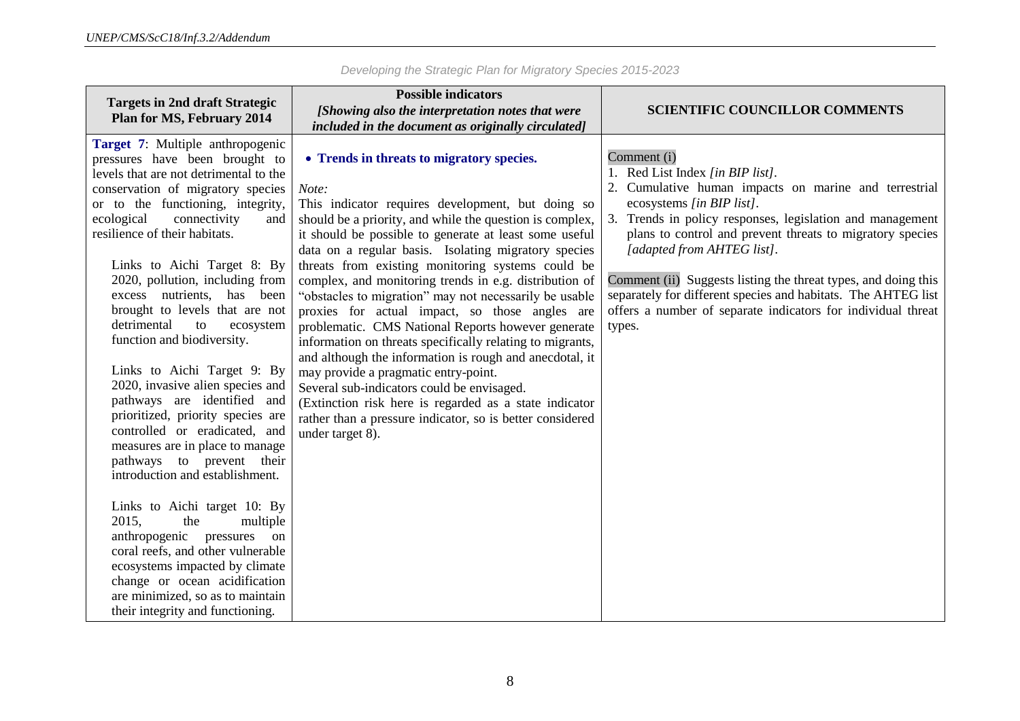| <b>Targets in 2nd draft Strategic</b>                                                                                                                                                                                                                                                                                                                                                                                                                                                                                                                                                                                                                                                                                                                                                                                                                                                                                                                                                                                  | <b>Possible indicators</b>                                                                                                                                                                                                                                                                                                                                                                                                                                                                                                                                                                                                                                                                                                                                                                                                                                                                                                      |                                                                                                                                                                                                                                                                                                                                                                                                                                                                                                         |
|------------------------------------------------------------------------------------------------------------------------------------------------------------------------------------------------------------------------------------------------------------------------------------------------------------------------------------------------------------------------------------------------------------------------------------------------------------------------------------------------------------------------------------------------------------------------------------------------------------------------------------------------------------------------------------------------------------------------------------------------------------------------------------------------------------------------------------------------------------------------------------------------------------------------------------------------------------------------------------------------------------------------|---------------------------------------------------------------------------------------------------------------------------------------------------------------------------------------------------------------------------------------------------------------------------------------------------------------------------------------------------------------------------------------------------------------------------------------------------------------------------------------------------------------------------------------------------------------------------------------------------------------------------------------------------------------------------------------------------------------------------------------------------------------------------------------------------------------------------------------------------------------------------------------------------------------------------------|---------------------------------------------------------------------------------------------------------------------------------------------------------------------------------------------------------------------------------------------------------------------------------------------------------------------------------------------------------------------------------------------------------------------------------------------------------------------------------------------------------|
| <b>Plan for MS, February 2014</b>                                                                                                                                                                                                                                                                                                                                                                                                                                                                                                                                                                                                                                                                                                                                                                                                                                                                                                                                                                                      | [Showing also the interpretation notes that were                                                                                                                                                                                                                                                                                                                                                                                                                                                                                                                                                                                                                                                                                                                                                                                                                                                                                | <b>SCIENTIFIC COUNCILLOR COMMENTS</b>                                                                                                                                                                                                                                                                                                                                                                                                                                                                   |
|                                                                                                                                                                                                                                                                                                                                                                                                                                                                                                                                                                                                                                                                                                                                                                                                                                                                                                                                                                                                                        | included in the document as originally circulated]                                                                                                                                                                                                                                                                                                                                                                                                                                                                                                                                                                                                                                                                                                                                                                                                                                                                              |                                                                                                                                                                                                                                                                                                                                                                                                                                                                                                         |
| Target 7: Multiple anthropogenic<br>pressures have been brought to<br>levels that are not detrimental to the<br>conservation of migratory species<br>or to the functioning, integrity,<br>connectivity<br>ecological<br>and<br>resilience of their habitats.<br>Links to Aichi Target 8: By<br>2020, pollution, including from<br>excess nutrients, has been<br>brought to levels that are not<br>detrimental<br>to<br>ecosystem<br>function and biodiversity.<br>Links to Aichi Target 9: By<br>2020, invasive alien species and<br>pathways are identified and<br>prioritized, priority species are<br>controlled or eradicated, and<br>measures are in place to manage<br>pathways to prevent their<br>introduction and establishment.<br>Links to Aichi target 10: By<br>2015,<br>the<br>multiple<br>anthropogenic pressures<br>on<br>coral reefs, and other vulnerable<br>ecosystems impacted by climate<br>change or ocean acidification<br>are minimized, so as to maintain<br>their integrity and functioning. | • Trends in threats to migratory species.<br>Note:<br>This indicator requires development, but doing so<br>should be a priority, and while the question is complex,<br>it should be possible to generate at least some useful<br>data on a regular basis. Isolating migratory species<br>threats from existing monitoring systems could be<br>complex, and monitoring trends in e.g. distribution of<br>"obstacles to migration" may not necessarily be usable<br>proxies for actual impact, so those angles are<br>problematic. CMS National Reports however generate<br>information on threats specifically relating to migrants,<br>and although the information is rough and anecdotal, it<br>may provide a pragmatic entry-point.<br>Several sub-indicators could be envisaged.<br>(Extinction risk here is regarded as a state indicator<br>rather than a pressure indicator, so is better considered<br>under target 8). | Comment (i)<br>1. Red List Index [in BIP list].<br>2. Cumulative human impacts on marine and terrestrial<br>ecosystems [in BIP list].<br>Trends in policy responses, legislation and management<br>plans to control and prevent threats to migratory species<br>[adapted from AHTEG list].<br>Comment (ii) Suggests listing the threat types, and doing this<br>separately for different species and habitats. The AHTEG list<br>offers a number of separate indicators for individual threat<br>types. |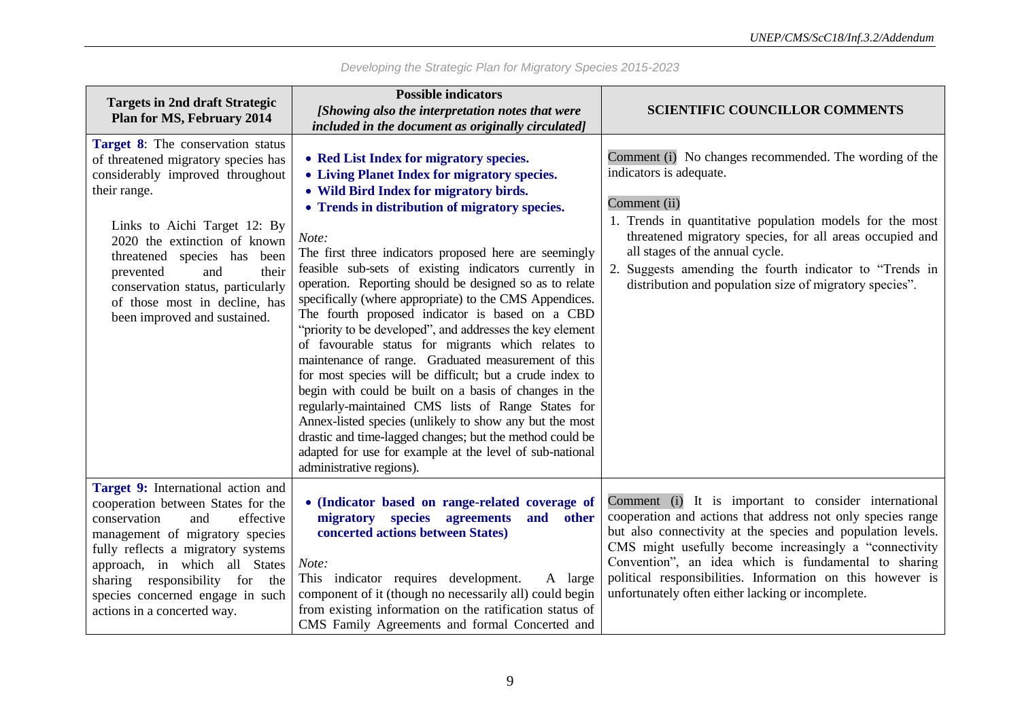|                                                                                                                                                                                                                                                                                                                                                                       | <b>Possible indicators</b>                                                                                                                                                                                                                                                                                                                                                                                                                                                                                                                                                                                                                                                                                                                                                                                                                                                                                                                                                                                                                                    |                                                                                                                                                                                                                                                                                                                                                                                                                           |
|-----------------------------------------------------------------------------------------------------------------------------------------------------------------------------------------------------------------------------------------------------------------------------------------------------------------------------------------------------------------------|---------------------------------------------------------------------------------------------------------------------------------------------------------------------------------------------------------------------------------------------------------------------------------------------------------------------------------------------------------------------------------------------------------------------------------------------------------------------------------------------------------------------------------------------------------------------------------------------------------------------------------------------------------------------------------------------------------------------------------------------------------------------------------------------------------------------------------------------------------------------------------------------------------------------------------------------------------------------------------------------------------------------------------------------------------------|---------------------------------------------------------------------------------------------------------------------------------------------------------------------------------------------------------------------------------------------------------------------------------------------------------------------------------------------------------------------------------------------------------------------------|
| <b>Targets in 2nd draft Strategic</b>                                                                                                                                                                                                                                                                                                                                 | [Showing also the interpretation notes that were                                                                                                                                                                                                                                                                                                                                                                                                                                                                                                                                                                                                                                                                                                                                                                                                                                                                                                                                                                                                              | <b>SCIENTIFIC COUNCILLOR COMMENTS</b>                                                                                                                                                                                                                                                                                                                                                                                     |
| <b>Plan for MS, February 2014</b>                                                                                                                                                                                                                                                                                                                                     | included in the document as originally circulated]                                                                                                                                                                                                                                                                                                                                                                                                                                                                                                                                                                                                                                                                                                                                                                                                                                                                                                                                                                                                            |                                                                                                                                                                                                                                                                                                                                                                                                                           |
| <b>Target 8:</b> The conservation status<br>of threatened migratory species has<br>considerably improved throughout<br>their range.<br>Links to Aichi Target 12: By<br>2020 the extinction of known<br>threatened species has been<br>prevented<br>and<br>their<br>conservation status, particularly<br>of those most in decline, has<br>been improved and sustained. | • Red List Index for migratory species.<br>• Living Planet Index for migratory species.<br>• Wild Bird Index for migratory birds.<br>• Trends in distribution of migratory species.<br>Note:<br>The first three indicators proposed here are seemingly<br>feasible sub-sets of existing indicators currently in<br>operation. Reporting should be designed so as to relate<br>specifically (where appropriate) to the CMS Appendices.<br>The fourth proposed indicator is based on a CBD<br>"priority to be developed", and addresses the key element<br>of favourable status for migrants which relates to<br>maintenance of range. Graduated measurement of this<br>for most species will be difficult; but a crude index to<br>begin with could be built on a basis of changes in the<br>regularly-maintained CMS lists of Range States for<br>Annex-listed species (unlikely to show any but the most<br>drastic and time-lagged changes; but the method could be<br>adapted for use for example at the level of sub-national<br>administrative regions). | Comment (i) No changes recommended. The wording of the<br>indicators is adequate.<br>Comment (ii)<br>1. Trends in quantitative population models for the most<br>threatened migratory species, for all areas occupied and<br>all stages of the annual cycle.<br>2. Suggests amending the fourth indicator to "Trends in<br>distribution and population size of migratory species".                                        |
| Target 9: International action and<br>cooperation between States for the<br>and<br>effective<br>conservation<br>management of migratory species<br>fully reflects a migratory systems<br>approach, in which all States<br>sharing responsibility for<br>the<br>species concerned engage in such<br>actions in a concerted way.                                        | • (Indicator based on range-related coverage of<br>migratory species agreements<br>and other<br>concerted actions between States)<br>Note:<br>This indicator requires development.<br>A large<br>component of it (though no necessarily all) could begin<br>from existing information on the ratification status of<br>CMS Family Agreements and formal Concerted and                                                                                                                                                                                                                                                                                                                                                                                                                                                                                                                                                                                                                                                                                         | Comment (i) It is important to consider international<br>cooperation and actions that address not only species range<br>but also connectivity at the species and population levels.<br>CMS might usefully become increasingly a "connectivity"<br>Convention", an idea which is fundamental to sharing<br>political responsibilities. Information on this however is<br>unfortunately often either lacking or incomplete. |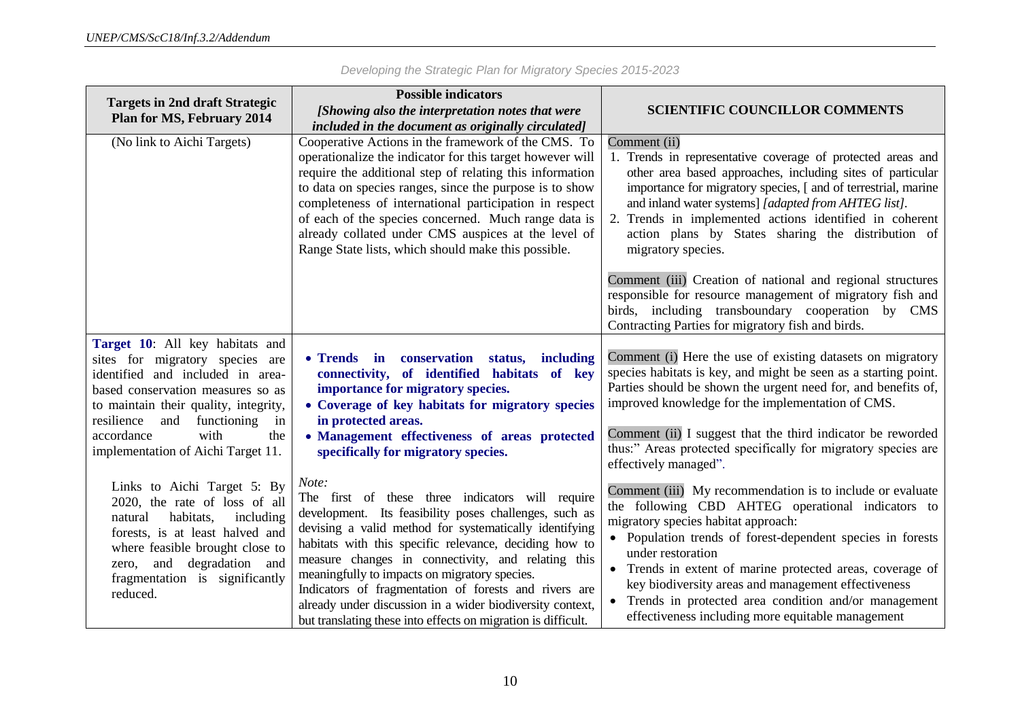| <b>Targets in 2nd draft Strategic</b>                                 | <b>Possible indicators</b>                                                                                        |                                                                                                                                  |
|-----------------------------------------------------------------------|-------------------------------------------------------------------------------------------------------------------|----------------------------------------------------------------------------------------------------------------------------------|
| <b>Plan for MS, February 2014</b>                                     | [Showing also the interpretation notes that were                                                                  | <b>SCIENTIFIC COUNCILLOR COMMENTS</b>                                                                                            |
|                                                                       | included in the document as originally circulated]                                                                |                                                                                                                                  |
| (No link to Aichi Targets)                                            | Cooperative Actions in the framework of the CMS. To<br>operationalize the indicator for this target however will  | Comment (ii)<br>1. Trends in representative coverage of protected areas and                                                      |
|                                                                       | require the additional step of relating this information                                                          | other area based approaches, including sites of particular                                                                       |
|                                                                       | to data on species ranges, since the purpose is to show<br>completeness of international participation in respect | importance for migratory species, [ and of terrestrial, marine<br>and inland water systems] [adapted from AHTEG list].           |
|                                                                       | of each of the species concerned. Much range data is                                                              | 2. Trends in implemented actions identified in coherent                                                                          |
|                                                                       | already collated under CMS auspices at the level of                                                               | action plans by States sharing the distribution of                                                                               |
|                                                                       | Range State lists, which should make this possible.                                                               | migratory species.                                                                                                               |
|                                                                       |                                                                                                                   | Comment (iii) Creation of national and regional structures                                                                       |
|                                                                       |                                                                                                                   | responsible for resource management of migratory fish and<br>birds, including transboundary cooperation by CMS                   |
|                                                                       |                                                                                                                   | Contracting Parties for migratory fish and birds.                                                                                |
| Target 10: All key habitats and                                       |                                                                                                                   |                                                                                                                                  |
| sites for migratory species are                                       | • Trends in conservation<br>status,<br>including                                                                  | Comment (i) Here the use of existing datasets on migratory                                                                       |
| identified and included in area-<br>based conservation measures so as | connectivity, of identified habitats of key<br>importance for migratory species.                                  | species habitats is key, and might be seen as a starting point.<br>Parties should be shown the urgent need for, and benefits of, |
| to maintain their quality, integrity,                                 | • Coverage of key habitats for migratory species                                                                  | improved knowledge for the implementation of CMS.                                                                                |
| and<br>functioning<br>resilience<br>in                                | in protected areas.                                                                                               |                                                                                                                                  |
| accordance<br>with<br>the<br>implementation of Aichi Target 11.       | • Management effectiveness of areas protected<br>specifically for migratory species.                              | Comment (ii) I suggest that the third indicator be reworded<br>thus:" Areas protected specifically for migratory species are     |
|                                                                       |                                                                                                                   | effectively managed".                                                                                                            |
| Links to Aichi Target 5: By                                           | Note:                                                                                                             | Comment (iii) My recommendation is to include or evaluate                                                                        |
| 2020, the rate of loss of all<br>habitats,<br>including<br>natural    | The first of these three indicators will require<br>development. Its feasibility poses challenges, such as        | the following CBD AHTEG operational indicators to                                                                                |
| forests, is at least halved and                                       | devising a valid method for systematically identifying                                                            | migratory species habitat approach:<br>• Population trends of forest-dependent species in forests                                |
| where feasible brought close to                                       | habitats with this specific relevance, deciding how to<br>measure changes in connectivity, and relating this      | under restoration                                                                                                                |
| and degradation and<br>zero,<br>fragmentation is significantly        | meaningfully to impacts on migratory species.                                                                     | Trends in extent of marine protected areas, coverage of                                                                          |
| reduced.                                                              | Indicators of fragmentation of forests and rivers are                                                             | key biodiversity areas and management effectiveness                                                                              |
|                                                                       | already under discussion in a wider biodiversity context,                                                         | Trends in protected area condition and/or management<br>effectiveness including more equitable management                        |
|                                                                       | but translating these into effects on migration is difficult.                                                     |                                                                                                                                  |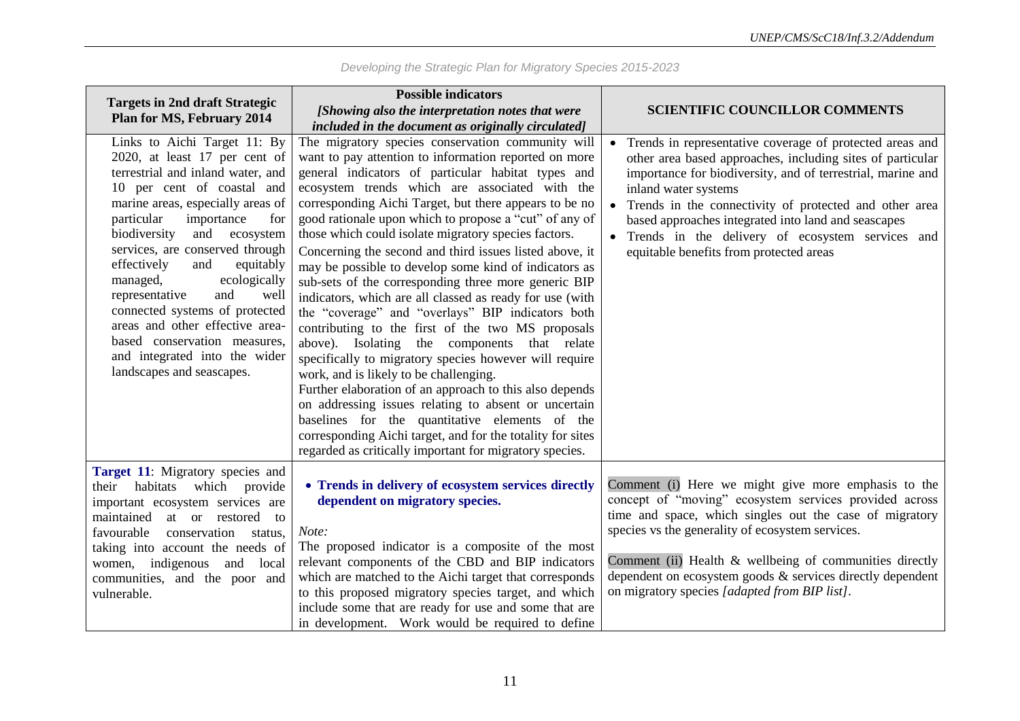|                                                                                                                                                                                                                                                                                                                                                                                                                                                                                                                                                    | <b>Possible indicators</b>                                                                                                                                                                                                                                                                                                                                                                                                                                                                                                                                                                                                                                                                                                                                                                                                                                                                                                                                                                                                                                                                                                                                                                         |                                                                                                                                                                                                                                                                                                                                                                                                                               |
|----------------------------------------------------------------------------------------------------------------------------------------------------------------------------------------------------------------------------------------------------------------------------------------------------------------------------------------------------------------------------------------------------------------------------------------------------------------------------------------------------------------------------------------------------|----------------------------------------------------------------------------------------------------------------------------------------------------------------------------------------------------------------------------------------------------------------------------------------------------------------------------------------------------------------------------------------------------------------------------------------------------------------------------------------------------------------------------------------------------------------------------------------------------------------------------------------------------------------------------------------------------------------------------------------------------------------------------------------------------------------------------------------------------------------------------------------------------------------------------------------------------------------------------------------------------------------------------------------------------------------------------------------------------------------------------------------------------------------------------------------------------|-------------------------------------------------------------------------------------------------------------------------------------------------------------------------------------------------------------------------------------------------------------------------------------------------------------------------------------------------------------------------------------------------------------------------------|
| <b>Targets in 2nd draft Strategic</b><br><b>Plan for MS, February 2014</b>                                                                                                                                                                                                                                                                                                                                                                                                                                                                         | [Showing also the interpretation notes that were                                                                                                                                                                                                                                                                                                                                                                                                                                                                                                                                                                                                                                                                                                                                                                                                                                                                                                                                                                                                                                                                                                                                                   | <b>SCIENTIFIC COUNCILLOR COMMENTS</b>                                                                                                                                                                                                                                                                                                                                                                                         |
|                                                                                                                                                                                                                                                                                                                                                                                                                                                                                                                                                    | included in the document as originally circulated]                                                                                                                                                                                                                                                                                                                                                                                                                                                                                                                                                                                                                                                                                                                                                                                                                                                                                                                                                                                                                                                                                                                                                 |                                                                                                                                                                                                                                                                                                                                                                                                                               |
| Links to Aichi Target 11: By<br>2020, at least 17 per cent of<br>terrestrial and inland water, and<br>10 per cent of coastal and<br>marine areas, especially areas of<br>particular<br>importance<br>for<br>biodiversity<br>and<br>ecosystem<br>services, are conserved through<br>effectively<br>and<br>equitably<br>managed,<br>ecologically<br>representative<br>and<br>well<br>connected systems of protected<br>areas and other effective area-<br>based conservation measures,<br>and integrated into the wider<br>landscapes and seascapes. | The migratory species conservation community will<br>want to pay attention to information reported on more<br>general indicators of particular habitat types and<br>ecosystem trends which are associated with the<br>corresponding Aichi Target, but there appears to be no<br>good rationale upon which to propose a "cut" of any of<br>those which could isolate migratory species factors.<br>Concerning the second and third issues listed above, it<br>may be possible to develop some kind of indicators as<br>sub-sets of the corresponding three more generic BIP<br>indicators, which are all classed as ready for use (with<br>the "coverage" and "overlays" BIP indicators both<br>contributing to the first of the two MS proposals<br>above). Isolating the components that relate<br>specifically to migratory species however will require<br>work, and is likely to be challenging.<br>Further elaboration of an approach to this also depends<br>on addressing issues relating to absent or uncertain<br>baselines for the quantitative elements of the<br>corresponding Aichi target, and for the totality for sites<br>regarded as critically important for migratory species. | Trends in representative coverage of protected areas and<br>other area based approaches, including sites of particular<br>importance for biodiversity, and of terrestrial, marine and<br>inland water systems<br>Trends in the connectivity of protected and other area<br>based approaches integrated into land and seascapes<br>Trends in the delivery of ecosystem services and<br>equitable benefits from protected areas |
| Target 11: Migratory species and<br>their habitats which provide<br>important ecosystem services are<br>maintained at or restored<br>$\overline{t}$<br>conservation<br>favourable<br>status,<br>taking into account the needs of<br>women, indigenous and local<br>communities, and the poor and<br>vulnerable.                                                                                                                                                                                                                                    | • Trends in delivery of ecosystem services directly<br>dependent on migratory species.<br>Note:<br>The proposed indicator is a composite of the most<br>relevant components of the CBD and BIP indicators<br>which are matched to the Aichi target that corresponds<br>to this proposed migratory species target, and which<br>include some that are ready for use and some that are<br>in development. Work would be required to define                                                                                                                                                                                                                                                                                                                                                                                                                                                                                                                                                                                                                                                                                                                                                           | Comment (i) Here we might give more emphasis to the<br>concept of "moving" ecosystem services provided across<br>time and space, which singles out the case of migratory<br>species vs the generality of ecosystem services.<br>Comment (ii) Health & wellbeing of communities directly<br>dependent on ecosystem goods $\&$ services directly dependent<br>on migratory species [adapted from BIP list].                     |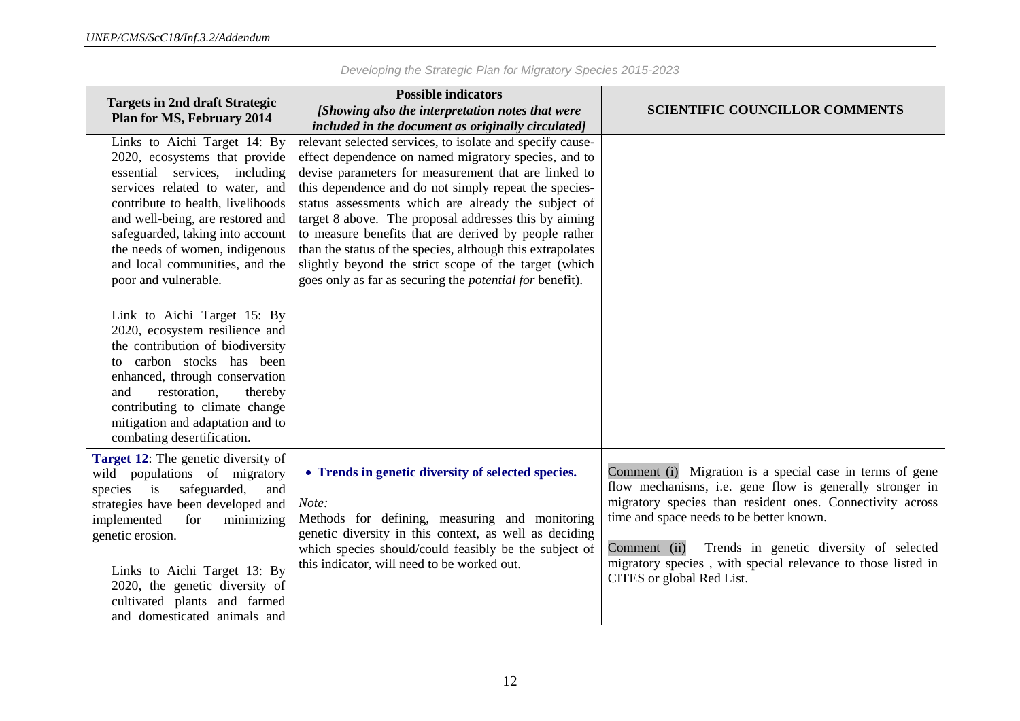| <b>Targets in 2nd draft Strategic</b><br>Plan for MS, February 2014                                                                                                                                                                                                                                                                                                                                                                                                                                                                                                               | <b>Possible indicators</b><br>[Showing also the interpretation notes that were<br>included in the document as originally circulated]                                                                                                                                                                                                                                                                                                                                                                                                                                                                  | <b>SCIENTIFIC COUNCILLOR COMMENTS</b>                                                                                                                                                                                                                                                                                                                                                 |
|-----------------------------------------------------------------------------------------------------------------------------------------------------------------------------------------------------------------------------------------------------------------------------------------------------------------------------------------------------------------------------------------------------------------------------------------------------------------------------------------------------------------------------------------------------------------------------------|-------------------------------------------------------------------------------------------------------------------------------------------------------------------------------------------------------------------------------------------------------------------------------------------------------------------------------------------------------------------------------------------------------------------------------------------------------------------------------------------------------------------------------------------------------------------------------------------------------|---------------------------------------------------------------------------------------------------------------------------------------------------------------------------------------------------------------------------------------------------------------------------------------------------------------------------------------------------------------------------------------|
| Links to Aichi Target 14: By<br>2020, ecosystems that provide<br>essential services, including<br>services related to water, and<br>contribute to health, livelihoods<br>and well-being, are restored and<br>safeguarded, taking into account<br>the needs of women, indigenous<br>and local communities, and the<br>poor and vulnerable.<br>Link to Aichi Target 15: By<br>2020, ecosystem resilience and<br>the contribution of biodiversity<br>to carbon stocks has been<br>enhanced, through conservation<br>restoration,<br>thereby<br>and<br>contributing to climate change | relevant selected services, to isolate and specify cause-<br>effect dependence on named migratory species, and to<br>devise parameters for measurement that are linked to<br>this dependence and do not simply repeat the species-<br>status assessments which are already the subject of<br>target 8 above. The proposal addresses this by aiming<br>to measure benefits that are derived by people rather<br>than the status of the species, although this extrapolates<br>slightly beyond the strict scope of the target (which<br>goes only as far as securing the <i>potential for</i> benefit). |                                                                                                                                                                                                                                                                                                                                                                                       |
| mitigation and adaptation and to<br>combating desertification.                                                                                                                                                                                                                                                                                                                                                                                                                                                                                                                    |                                                                                                                                                                                                                                                                                                                                                                                                                                                                                                                                                                                                       |                                                                                                                                                                                                                                                                                                                                                                                       |
| Target 12: The genetic diversity of<br>wild populations of migratory<br>safeguarded,<br>$\frac{1}{1}$<br>species<br>and<br>strategies have been developed and<br>implemented<br>for<br>minimizing<br>genetic erosion.<br>Links to Aichi Target 13: By<br>2020, the genetic diversity of<br>cultivated plants and farmed<br>and domesticated animals and                                                                                                                                                                                                                           | • Trends in genetic diversity of selected species.<br>Note:<br>Methods for defining, measuring and monitoring<br>genetic diversity in this context, as well as deciding<br>which species should/could feasibly be the subject of<br>this indicator, will need to be worked out.                                                                                                                                                                                                                                                                                                                       | Comment (i) Migration is a special case in terms of gene<br>flow mechanisms, i.e. gene flow is generally stronger in<br>migratory species than resident ones. Connectivity across<br>time and space needs to be better known.<br>Comment (ii)<br>Trends in genetic diversity of selected<br>migratory species, with special relevance to those listed in<br>CITES or global Red List. |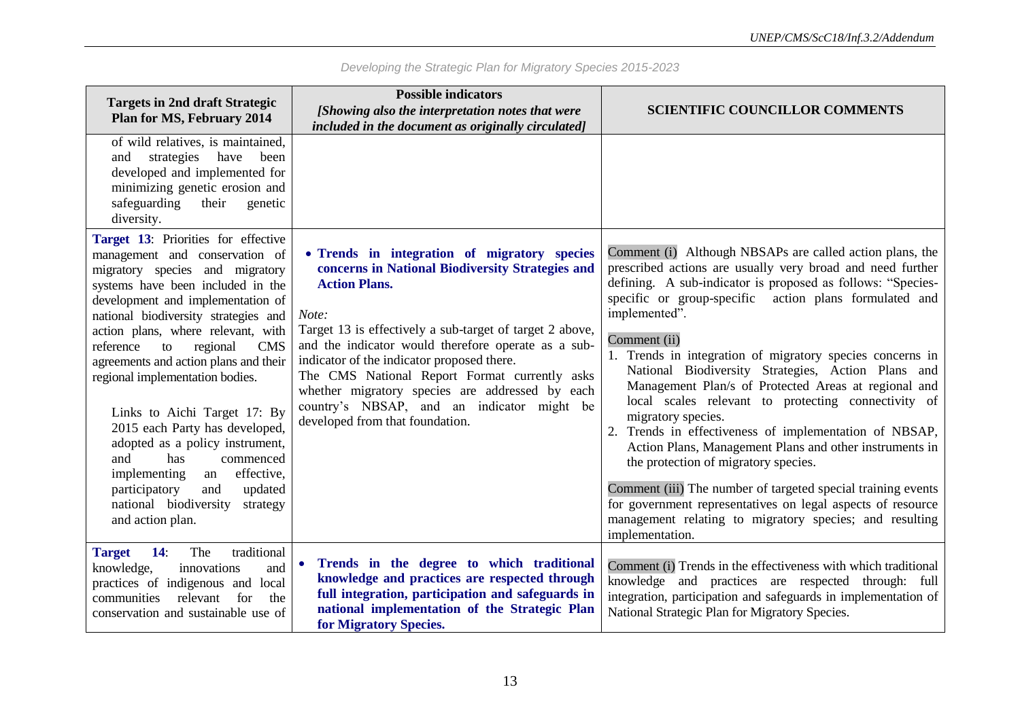| <b>Targets in 2nd draft Strategic</b><br><b>Plan for MS, February 2014</b>                                                                                                                                                                                                                                                                                                                                                                                                                                                                                                                                                                                | <b>Possible indicators</b><br>[Showing also the interpretation notes that were<br>included in the document as originally circulated]                                                                                                                                                                                                                                                                                                                                                    | <b>SCIENTIFIC COUNCILLOR COMMENTS</b>                                                                                                                                                                                                                                                                                                                                                                                                                                                                                                                                                                                                                                                                                                                                                                                                                                                                              |
|-----------------------------------------------------------------------------------------------------------------------------------------------------------------------------------------------------------------------------------------------------------------------------------------------------------------------------------------------------------------------------------------------------------------------------------------------------------------------------------------------------------------------------------------------------------------------------------------------------------------------------------------------------------|-----------------------------------------------------------------------------------------------------------------------------------------------------------------------------------------------------------------------------------------------------------------------------------------------------------------------------------------------------------------------------------------------------------------------------------------------------------------------------------------|--------------------------------------------------------------------------------------------------------------------------------------------------------------------------------------------------------------------------------------------------------------------------------------------------------------------------------------------------------------------------------------------------------------------------------------------------------------------------------------------------------------------------------------------------------------------------------------------------------------------------------------------------------------------------------------------------------------------------------------------------------------------------------------------------------------------------------------------------------------------------------------------------------------------|
| of wild relatives, is maintained,<br>strategies<br>have been<br>and<br>developed and implemented for<br>minimizing genetic erosion and<br>safeguarding<br>their<br>genetic<br>diversity.                                                                                                                                                                                                                                                                                                                                                                                                                                                                  |                                                                                                                                                                                                                                                                                                                                                                                                                                                                                         |                                                                                                                                                                                                                                                                                                                                                                                                                                                                                                                                                                                                                                                                                                                                                                                                                                                                                                                    |
| Target 13: Priorities for effective<br>management and conservation of<br>migratory species and migratory<br>systems have been included in the<br>development and implementation of<br>national biodiversity strategies and<br>action plans, where relevant, with<br><b>CMS</b><br>reference<br>to<br>regional<br>agreements and action plans and their<br>regional implementation bodies.<br>Links to Aichi Target 17: By<br>2015 each Party has developed,<br>adopted as a policy instrument,<br>and<br>has<br>commenced<br>effective,<br>implementing<br>an<br>participatory<br>and<br>updated<br>national biodiversity<br>strategy<br>and action plan. | • Trends in integration of migratory species<br>concerns in National Biodiversity Strategies and<br><b>Action Plans.</b><br>Note:<br>Target 13 is effectively a sub-target of target 2 above,<br>and the indicator would therefore operate as a sub-<br>indicator of the indicator proposed there.<br>The CMS National Report Format currently asks<br>whether migratory species are addressed by each<br>country's NBSAP, and an indicator might be<br>developed from that foundation. | Comment (i) Although NBSAPs are called action plans, the<br>prescribed actions are usually very broad and need further<br>defining. A sub-indicator is proposed as follows: "Species-<br>specific or group-specific action plans formulated and<br>implemented".<br>Comment (ii)<br>1. Trends in integration of migratory species concerns in<br>National Biodiversity Strategies, Action Plans and<br>Management Plan/s of Protected Areas at regional and<br>local scales relevant to protecting connectivity of<br>migratory species.<br>2. Trends in effectiveness of implementation of NBSAP,<br>Action Plans, Management Plans and other instruments in<br>the protection of migratory species.<br>Comment (iii) The number of targeted special training events<br>for government representatives on legal aspects of resource<br>management relating to migratory species; and resulting<br>implementation. |
| traditional<br><b>Target</b><br>14:<br>The<br>knowledge,<br>innovations<br>and<br>practices of indigenous and local<br>communities<br>relevant<br>for<br>the<br>conservation and sustainable use of                                                                                                                                                                                                                                                                                                                                                                                                                                                       | Trends in the degree to which traditional<br>knowledge and practices are respected through<br>full integration, participation and safeguards in<br>national implementation of the Strategic Plan<br>for Migratory Species.                                                                                                                                                                                                                                                              | Comment (i) Trends in the effectiveness with which traditional<br>knowledge and practices are respected through: full<br>integration, participation and safeguards in implementation of<br>National Strategic Plan for Migratory Species.                                                                                                                                                                                                                                                                                                                                                                                                                                                                                                                                                                                                                                                                          |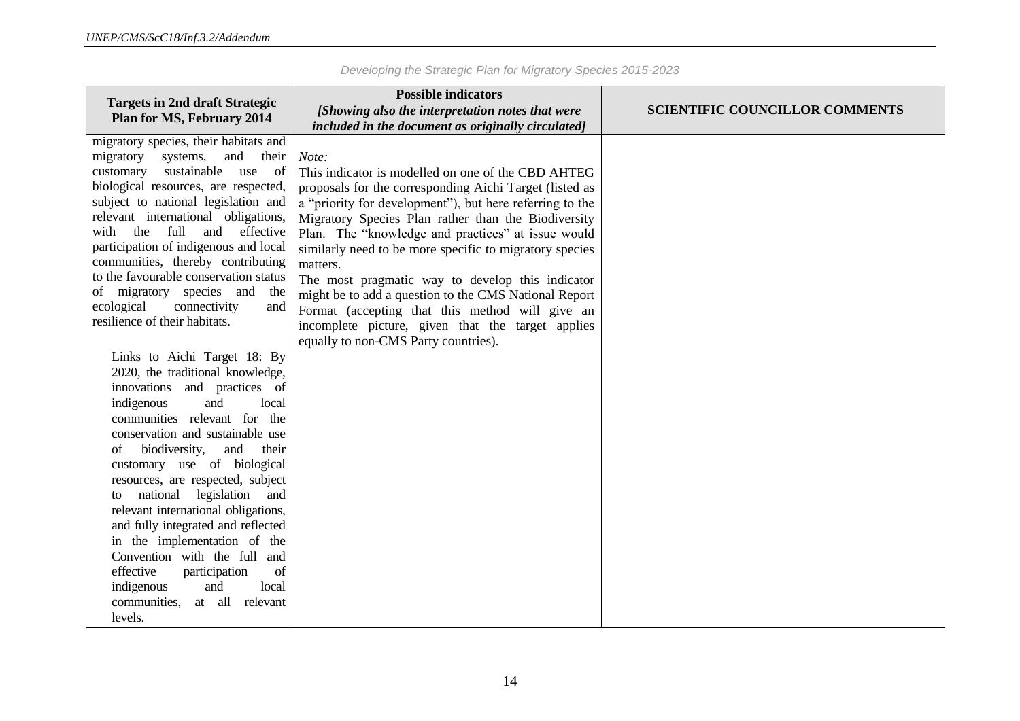| <b>Targets in 2nd draft Strategic</b><br><b>Plan for MS, February 2014</b>                                                                                                                                                                                                                                                                                                                                                                                                                                                                                                                                         | <b>Possible indicators</b>                                                                                                                                                                                                                                                                                                                                                                                                                                                                                                             |                                       |
|--------------------------------------------------------------------------------------------------------------------------------------------------------------------------------------------------------------------------------------------------------------------------------------------------------------------------------------------------------------------------------------------------------------------------------------------------------------------------------------------------------------------------------------------------------------------------------------------------------------------|----------------------------------------------------------------------------------------------------------------------------------------------------------------------------------------------------------------------------------------------------------------------------------------------------------------------------------------------------------------------------------------------------------------------------------------------------------------------------------------------------------------------------------------|---------------------------------------|
|                                                                                                                                                                                                                                                                                                                                                                                                                                                                                                                                                                                                                    | [Showing also the interpretation notes that were                                                                                                                                                                                                                                                                                                                                                                                                                                                                                       | <b>SCIENTIFIC COUNCILLOR COMMENTS</b> |
|                                                                                                                                                                                                                                                                                                                                                                                                                                                                                                                                                                                                                    | included in the document as originally circulated]                                                                                                                                                                                                                                                                                                                                                                                                                                                                                     |                                       |
| migratory species, their habitats and<br>migratory<br>and<br>their<br>systems,<br>sustainable use<br><sub>of</sub><br>customary<br>biological resources, are respected,<br>subject to national legislation and<br>relevant international obligations,<br>full<br>with the<br>and<br>effective<br>participation of indigenous and local<br>communities, thereby contributing<br>to the favourable conservation status<br>of migratory species and<br>the<br>ecological<br>connectivity<br>and<br>resilience of their habitats.                                                                                      | Note:<br>This indicator is modelled on one of the CBD AHTEG<br>proposals for the corresponding Aichi Target (listed as<br>a "priority for development"), but here referring to the<br>Migratory Species Plan rather than the Biodiversity<br>Plan. The "knowledge and practices" at issue would<br>similarly need to be more specific to migratory species<br>matters.<br>The most pragmatic way to develop this indicator<br>might be to add a question to the CMS National Report<br>Format (accepting that this method will give an |                                       |
| Links to Aichi Target 18: By<br>2020, the traditional knowledge,<br>innovations and practices of<br>indigenous<br>and<br>local<br>communities relevant for the<br>conservation and sustainable use<br>biodiversity,<br>and<br>their<br>of<br>customary use of biological<br>resources, are respected, subject<br>legislation<br>national<br>and<br>to<br>relevant international obligations,<br>and fully integrated and reflected<br>in the implementation of the<br>Convention with the full and<br>effective<br>participation<br>of<br>and<br>indigenous<br>local<br>communities,<br>at all relevant<br>levels. | incomplete picture, given that the target applies<br>equally to non-CMS Party countries).                                                                                                                                                                                                                                                                                                                                                                                                                                              |                                       |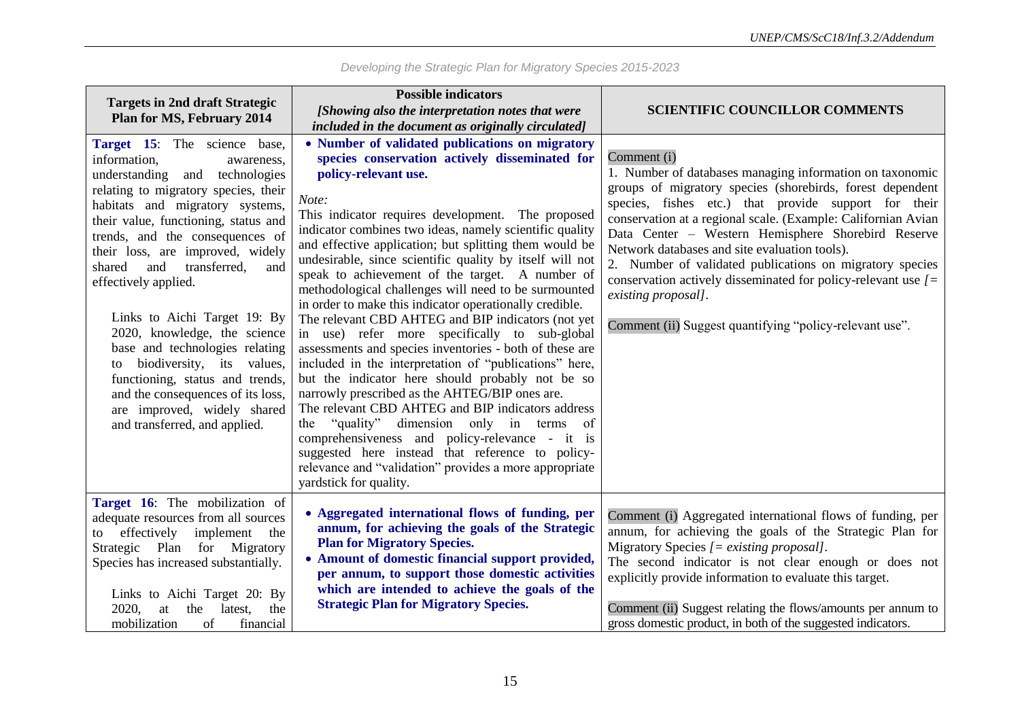| <b>Targets in 2nd draft Strategic</b><br><b>Plan for MS, February 2014</b>                                                                                                                                                                                                                                                                                                                                                                                                                                                                                                                                                          | <b>Possible indicators</b>                                                                                                                                                                                                                                                                                                                                                                                                                                                                                                                                                                                                                                                                                                                                                                                                                                                                                                                                                                                                                                                                                                                                                     |                                                                                                                                                                                                                                                                                                                                                                                                                                                                                                                                                                                        |
|-------------------------------------------------------------------------------------------------------------------------------------------------------------------------------------------------------------------------------------------------------------------------------------------------------------------------------------------------------------------------------------------------------------------------------------------------------------------------------------------------------------------------------------------------------------------------------------------------------------------------------------|--------------------------------------------------------------------------------------------------------------------------------------------------------------------------------------------------------------------------------------------------------------------------------------------------------------------------------------------------------------------------------------------------------------------------------------------------------------------------------------------------------------------------------------------------------------------------------------------------------------------------------------------------------------------------------------------------------------------------------------------------------------------------------------------------------------------------------------------------------------------------------------------------------------------------------------------------------------------------------------------------------------------------------------------------------------------------------------------------------------------------------------------------------------------------------|----------------------------------------------------------------------------------------------------------------------------------------------------------------------------------------------------------------------------------------------------------------------------------------------------------------------------------------------------------------------------------------------------------------------------------------------------------------------------------------------------------------------------------------------------------------------------------------|
|                                                                                                                                                                                                                                                                                                                                                                                                                                                                                                                                                                                                                                     | [Showing also the interpretation notes that were<br>included in the document as originally circulated]                                                                                                                                                                                                                                                                                                                                                                                                                                                                                                                                                                                                                                                                                                                                                                                                                                                                                                                                                                                                                                                                         | <b>SCIENTIFIC COUNCILLOR COMMENTS</b>                                                                                                                                                                                                                                                                                                                                                                                                                                                                                                                                                  |
| Target 15: The science base,<br>information,<br>awareness,<br>understanding and technologies<br>relating to migratory species, their<br>habitats and migratory systems,<br>their value, functioning, status and<br>trends, and the consequences of<br>their loss, are improved, widely<br>and<br>transferred,<br>shared<br>and<br>effectively applied.<br>Links to Aichi Target 19: By<br>2020, knowledge, the science<br>base and technologies relating<br>biodiversity, its values,<br>to<br>functioning, status and trends,<br>and the consequences of its loss,<br>are improved, widely shared<br>and transferred, and applied. | • Number of validated publications on migratory<br>species conservation actively disseminated for<br>policy-relevant use.<br>Note:<br>This indicator requires development. The proposed<br>indicator combines two ideas, namely scientific quality<br>and effective application; but splitting them would be<br>undesirable, since scientific quality by itself will not<br>speak to achievement of the target. A number of<br>methodological challenges will need to be surmounted<br>in order to make this indicator operationally credible.<br>The relevant CBD AHTEG and BIP indicators (not yet<br>in use) refer more specifically to sub-global<br>assessments and species inventories - both of these are<br>included in the interpretation of "publications" here,<br>but the indicator here should probably not be so<br>narrowly prescribed as the AHTEG/BIP ones are.<br>The relevant CBD AHTEG and BIP indicators address<br>the "quality" dimension only in terms<br>of<br>comprehensiveness and policy-relevance - it is<br>suggested here instead that reference to policy-<br>relevance and "validation" provides a more appropriate<br>yardstick for quality. | Comment (i)<br>1. Number of databases managing information on taxonomic<br>groups of migratory species (shorebirds, forest dependent<br>species, fishes etc.) that provide support for their<br>conservation at a regional scale. (Example: Californian Avian<br>Data Center - Western Hemisphere Shorebird Reserve<br>Network databases and site evaluation tools).<br>2. Number of validated publications on migratory species<br>conservation actively disseminated for policy-relevant use $[ =$<br>existing proposal].<br>Comment (ii) Suggest quantifying "policy-relevant use". |
| Target 16: The mobilization of<br>adequate resources from all sources<br>effectively implement<br>the<br>to<br>Strategic Plan for Migratory<br>Species has increased substantially.<br>Links to Aichi Target 20: By<br>2020,<br>at<br>the<br>latest,<br>the<br>mobilization<br>of<br>financial                                                                                                                                                                                                                                                                                                                                      | • Aggregated international flows of funding, per<br>annum, for achieving the goals of the Strategic<br><b>Plan for Migratory Species.</b><br>• Amount of domestic financial support provided,<br>per annum, to support those domestic activities<br>which are intended to achieve the goals of the<br><b>Strategic Plan for Migratory Species.</b>                                                                                                                                                                                                                                                                                                                                                                                                                                                                                                                                                                                                                                                                                                                                                                                                                             | Comment (i) Aggregated international flows of funding, per<br>annum, for achieving the goals of the Strategic Plan for<br>Migratory Species $[=$ existing proposal].<br>The second indicator is not clear enough or does not<br>explicitly provide information to evaluate this target.<br>Comment (ii) Suggest relating the flows/amounts per annum to<br>gross domestic product, in both of the suggested indicators.                                                                                                                                                                |